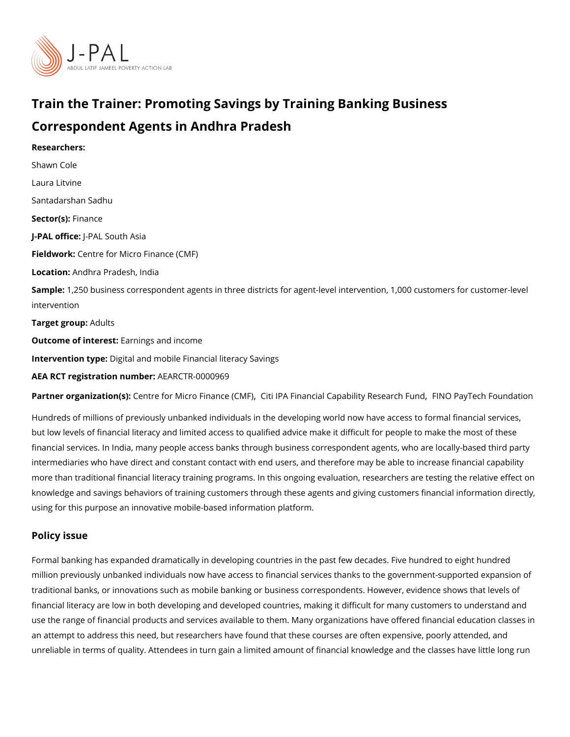# Train the Trainer: Promoting Savings by Training Banking B Correspondent Agents in Andhra Pradesh

Researchers: [Shawn C](https://www.povertyactionlab.org/person/cole)ole Laura Litvine Santadarshan Sadhu Sector(Fsi)nance J-PAL of UicReAL South Asia Fieldwoßchentre for Micro Finance (CMF) LocatioAndhra Pradesh, India Sample: 250 business correspondent agents in three districts for agent-level intervention, intervention Target gro $A$ dults Outcome of interestings and income Intervention toppeital and mobile Financial literacy Savings AEA RCT registration ArEuAnRbGeTR-0000969

Partner organizatCoem(ts): for Micro FinaCitei (IPM Financial Capability FR NSOe & PracyhT Fund Houndat

Hundreds of millions of previously unbanked individuals in the developing world now have but low levels of financial literacy and limited access to qualified advice make it difficult financial services. In India, many people access banks through business correspondent ag intermediaries who have direct and constant contact with end users, and therefore may be more than traditional financial literacy training programs. In this ongoing evaluation, rese knowledge and savings behaviors of training customers through these agents and giving c using for this purpose an innovative mobile-based information platform.

#### Policy issue

Formal banking has expanded dramatically in developing countries in the past few decade million previously unbanked individuals now have access to financial services thanks to t traditional banks, or innovations such as mobile banking or business correspondents. How financial literacy are low in both developing and developed countries, making it difficult f use the range of financial products and services available to them. Many organizations ha an attempt to address this need, but researchers have found that these courses are often unreliable in terms of quality. Attendees in turn gain a limited amount of financial knowle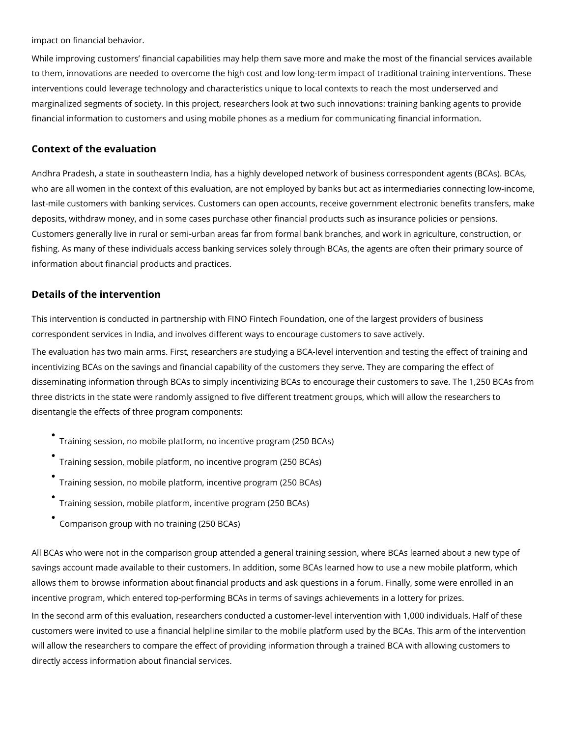impact on financial behavior.

While improving customers' financial capabilities may help them save more and make the most of the financial services available to them, innovations are needed to overcome the high cost and low long-term impact of traditional training interventions. These interventions could leverage technology and characteristics unique to local contexts to reach the most underserved and marginalized segments of society. In this project, researchers look at two such innovations: training banking agents to provide financial information to customers and using mobile phones as a medium for communicating financial information.

### **Context of the evaluation**

Andhra Pradesh, a state in southeastern India, has a highly developed network of business correspondent agents (BCAs). BCAs, who are all women in the context of this evaluation, are not employed by banks but act as intermediaries connecting low-income, last-mile customers with banking services. Customers can open accounts, receive government electronic benefits transfers, make deposits, withdraw money, and in some cases purchase other financial products such as insurance policies or pensions. Customers generally live in rural or semi-urban areas far from formal bank branches, and work in agriculture, construction, or fishing. As many of these individuals access banking services solely through BCAs, the agents are often their primary source of information about financial products and practices.

#### **Details of the intervention**

This intervention is conducted in partnership with FINO Fintech Foundation, one of the largest providers of business correspondent services in India, and involves different ways to encourage customers to save actively.

The evaluation has two main arms. First, researchers are studying a BCA-level intervention and testing the effect of training and incentivizing BCAs on the savings and financial capability of the customers they serve. They are comparing the effect of disseminating information through BCAs to simply incentivizing BCAs to encourage their customers to save. The 1,250 BCAs from three districts in the state were randomly assigned to five different treatment groups, which will allow the researchers to disentangle the effects of three program components:

- Training session, no mobile platform, no incentive program (250 BCAs)
- Training session, mobile platform, no incentive program (250 BCAs)
- Training session, no mobile platform, incentive program (250 BCAs)
- Training session, mobile platform, incentive program (250 BCAs)
- Comparison group with no training (250 BCAs)

All BCAs who were not in the comparison group attended a general training session, where BCAs learned about a new type of savings account made available to their customers. In addition, some BCAs learned how to use a new mobile platform, which allows them to browse information about financial products and ask questions in a forum. Finally, some were enrolled in an incentive program, which entered top-performing BCAs in terms of savings achievements in a lottery for prizes.

In the second arm of this evaluation, researchers conducted a customer-level intervention with 1,000 individuals. Half of these customers were invited to use a financial helpline similar to the mobile platform used by the BCAs. This arm of the intervention will allow the researchers to compare the effect of providing information through a trained BCA with allowing customers to directly access information about financial services.